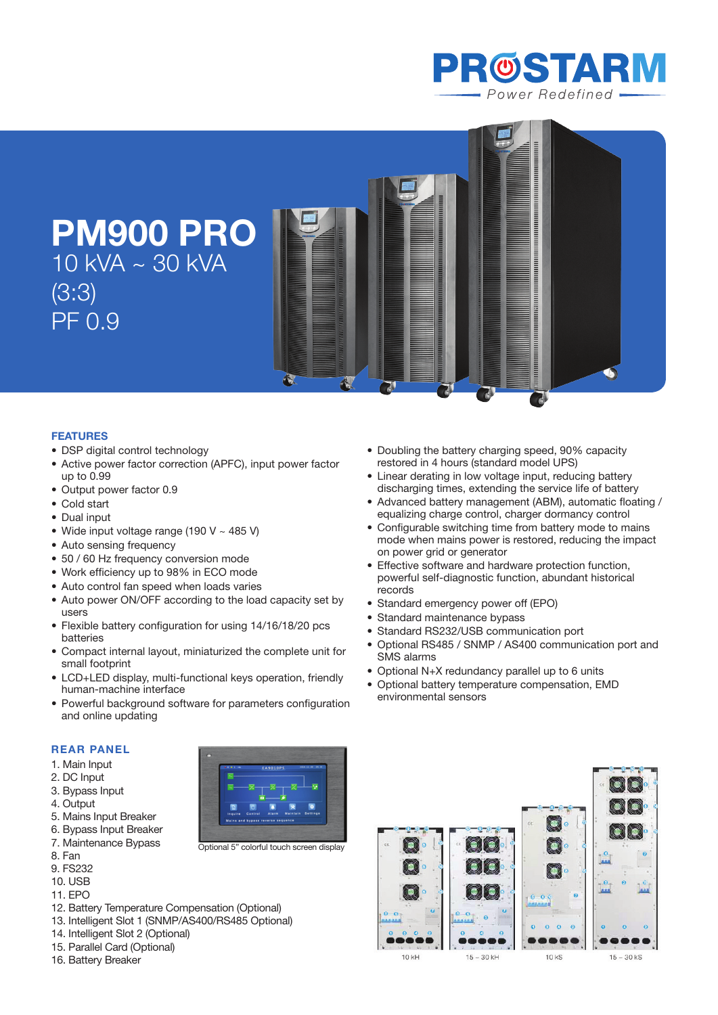

**PM900 PRO** 10 kVA ~ 30 kVA (3:3) PF 0.9

## **Features**

- DSP digital control technology
- Active power factor correction (APFC), input power factor up to 0.99
- Output power factor 0.9
- Cold start
- Dual input
- Wide input voltage range (190 V  $\sim$  485 V)
- Auto sensing frequency
- 50 / 60 Hz frequency conversion mode
- Work efficiency up to 98% in ECO mode
- Auto control fan speed when loads varies
- Auto power ON/OFF according to the load capacity set by users
- Flexible battery configuration for using 14/16/18/20 pcs batteries
- • Compact internal layout, miniaturized the complete unit for small footprint
- LCD+LED display, multi-functional keys operation, friendly human-machine interface
- Powerful background software for parameters configuration and online updating

Optional 5" colorful touch screen display

Ä

## **REAR PANEL**

- 1. Main Input
- 2. DC Input
- 3. Bypass Input
- 4. Output
- 5. Mains Input Breaker
- 6. Bypass Input Breaker
- 7. Maintenance Bypass
- 8. Fan
- 9. FS232
- 10. USB
- 11. EPO
- 12. Battery Temperature Compensation (Optional)
- 13. Intelligent Slot 1 (SNMP/AS400/RS485 Optional)
- 14. Intelligent Slot 2 (Optional)
- 15. Parallel Card (Optional)
- 16. Battery Breaker
- Doubling the battery charging speed, 90% capacity restored in 4 hours (standard model UPS)
- Linear derating in low voltage input, reducing battery discharging times, extending the service life of battery

 $\overline{d}$ 

- Advanced battery management (ABM), automatic floating / equalizing charge control, charger dormancy control
- Configurable switching time from battery mode to mains mode when mains power is restored, reducing the impact on power grid or generator
- Effective software and hardware protection function, powerful self-diagnostic function, abundant historical records
- Standard emergency power off (EPO)
- Standard maintenance bypass

 $\overline{d}$ 

- Standard RS232/USB communication port
- • Optional RS485 / SNMP / AS400 communication port and SMS alarms
- Optional N+X redundancy parallel up to 6 units
- • Optional battery temperature compensation, EMD environmental sensors